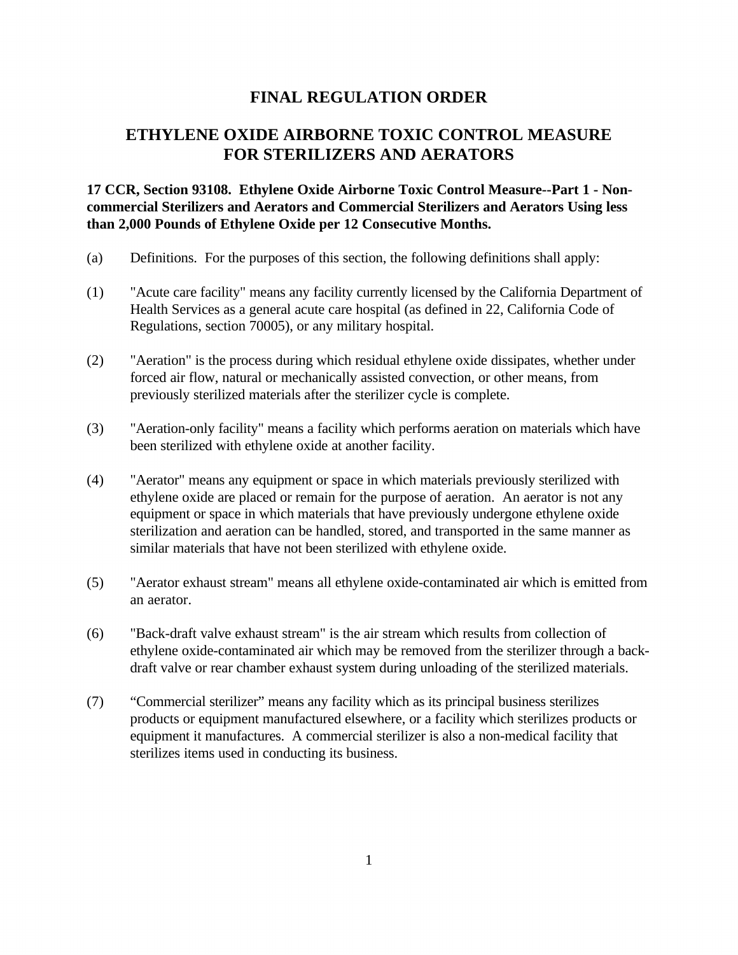## **FINAL REGULATION ORDER**

# **ETHYLENE OXIDE AIRBORNE TOXIC CONTROL MEASURE FOR STERILIZERS AND AERATORS**

**17 CCR, Section 93108. Ethylene Oxide Airborne Toxic Control Measure--Part 1 - Noncommercial Sterilizers and Aerators and Commercial Sterilizers and Aerators Using less than 2,000 Pounds of Ethylene Oxide per 12 Consecutive Months.** 

- (a) Definitions. For the purposes of this section, the following definitions shall apply:
- (1) "Acute care facility" means any facility currently licensed by the California Department of Health Services as a general acute care hospital (as defined in 22, California Code of Regulations, section 70005), or any military hospital.
- (2) "Aeration" is the process during which residual ethylene oxide dissipates, whether under forced air flow, natural or mechanically assisted convection, or other means, from previously sterilized materials after the sterilizer cycle is complete.
- (3) "Aeration-only facility" means a facility which performs aeration on materials which have been sterilized with ethylene oxide at another facility.
- (4) "Aerator" means any equipment or space in which materials previously sterilized with ethylene oxide are placed or remain for the purpose of aeration. An aerator is not any equipment or space in which materials that have previously undergone ethylene oxide sterilization and aeration can be handled, stored, and transported in the same manner as similar materials that have not been sterilized with ethylene oxide.
- (5) "Aerator exhaust stream" means all ethylene oxide-contaminated air which is emitted from an aerator.
- (6) "Back-draft valve exhaust stream" is the air stream which results from collection of ethylene oxide-contaminated air which may be removed from the sterilizer through a backdraft valve or rear chamber exhaust system during unloading of the sterilized materials.
- (7) "Commercial sterilizer" means any facility which as its principal business sterilizes products or equipment manufactured elsewhere, or a facility which sterilizes products or equipment it manufactures. A commercial sterilizer is also a non-medical facility that sterilizes items used in conducting its business.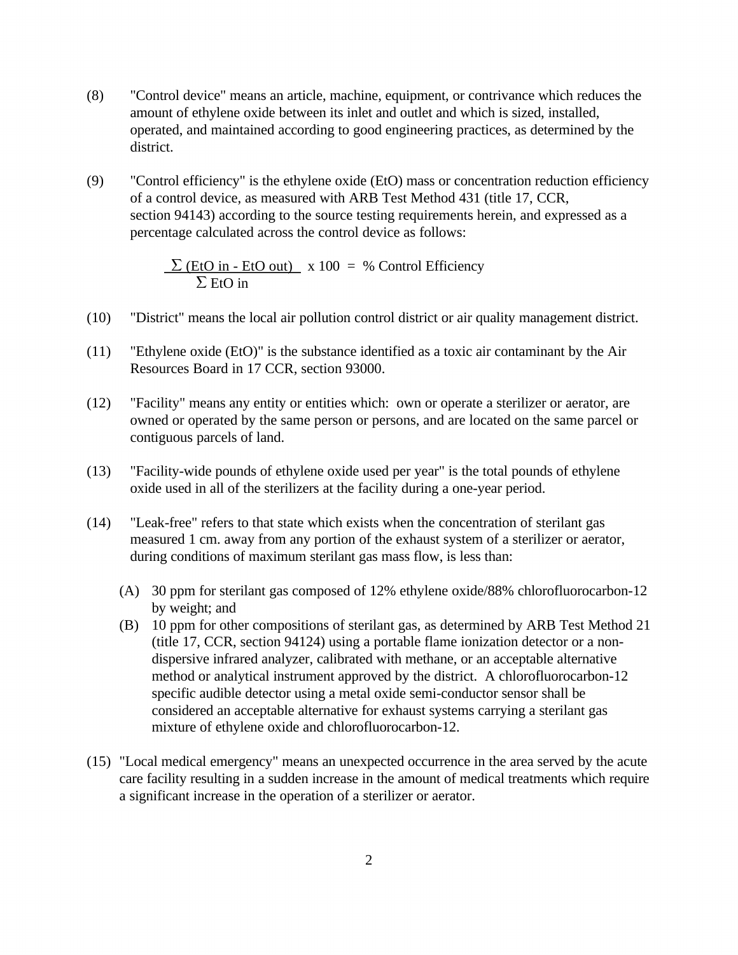- (8) "Control device" means an article, machine, equipment, or contrivance which reduces the amount of ethylene oxide between its inlet and outlet and which is sized, installed, operated, and maintained according to good engineering practices, as determined by the district.
- (9) "Control efficiency" is the ethylene oxide (EtO) mass or concentration reduction efficiency of a control device, as measured with ARB Test Method 431 (title 17, CCR, section 94143) according to the source testing requirements herein, and expressed as a percentage calculated across the control device as follows:

 $\Sigma$  (EtO in - EtO out) x 100 = % Control Efficiency  $\Sigma$  EtO in

- (10) "District" means the local air pollution control district or air quality management district.
- (11) "Ethylene oxide (EtO)" is the substance identified as a toxic air contaminant by the Air Resources Board in 17 CCR, section 93000.
- (12) "Facility" means any entity or entities which: own or operate a sterilizer or aerator, are owned or operated by the same person or persons, and are located on the same parcel or contiguous parcels of land.
- (13) "Facility-wide pounds of ethylene oxide used per year" is the total pounds of ethylene oxide used in all of the sterilizers at the facility during a one-year period.
- (14) "Leak-free" refers to that state which exists when the concentration of sterilant gas measured 1 cm. away from any portion of the exhaust system of a sterilizer or aerator, during conditions of maximum sterilant gas mass flow, is less than:
	- (A) 30 ppm for sterilant gas composed of 12% ethylene oxide/88% chlorofluorocarbon-12 by weight; and
	- (B) 10 ppm for other compositions of sterilant gas, as determined by ARB Test Method 21 (title 17, CCR, section 94124) using a portable flame ionization detector or a nondispersive infrared analyzer, calibrated with methane, or an acceptable alternative method or analytical instrument approved by the district. A chlorofluorocarbon-12 specific audible detector using a metal oxide semi-conductor sensor shall be considered an acceptable alternative for exhaust systems carrying a sterilant gas mixture of ethylene oxide and chlorofluorocarbon-12.
- (15) "Local medical emergency" means an unexpected occurrence in the area served by the acute care facility resulting in a sudden increase in the amount of medical treatments which require a significant increase in the operation of a sterilizer or aerator.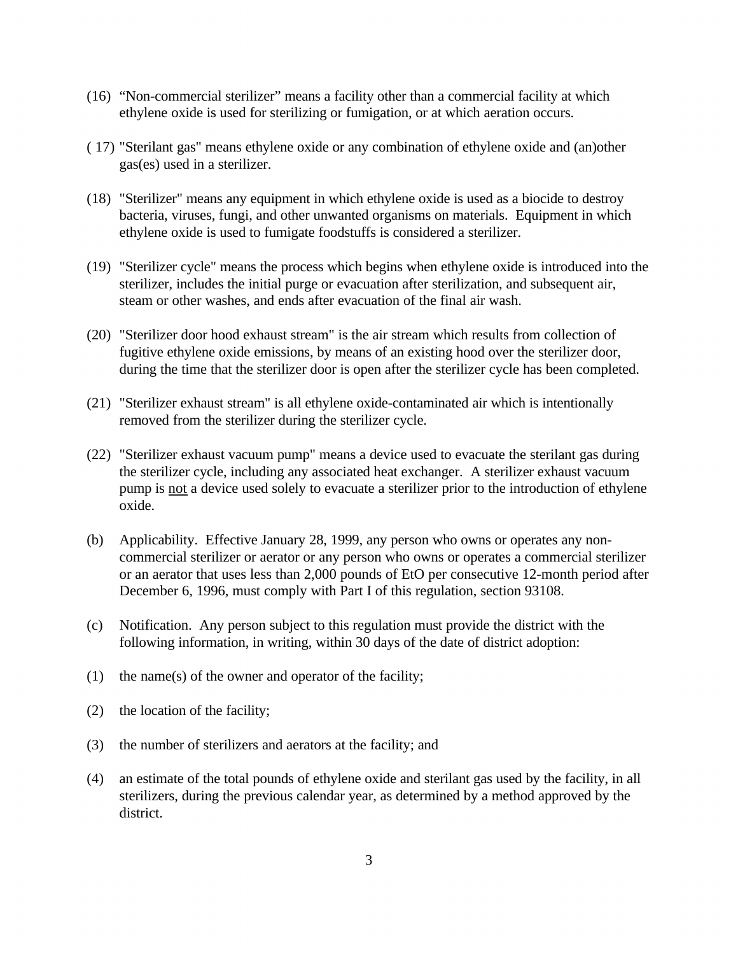- (16) "Non-commercial sterilizer" means a facility other than a commercial facility at which ethylene oxide is used for sterilizing or fumigation, or at which aeration occurs.
- ( 17) "Sterilant gas" means ethylene oxide or any combination of ethylene oxide and (an)other gas(es) used in a sterilizer.
- (18) "Sterilizer" means any equipment in which ethylene oxide is used as a biocide to destroy bacteria, viruses, fungi, and other unwanted organisms on materials. Equipment in which ethylene oxide is used to fumigate foodstuffs is considered a sterilizer.
- (19) "Sterilizer cycle" means the process which begins when ethylene oxide is introduced into the sterilizer, includes the initial purge or evacuation after sterilization, and subsequent air, steam or other washes, and ends after evacuation of the final air wash.
- (20) "Sterilizer door hood exhaust stream" is the air stream which results from collection of fugitive ethylene oxide emissions, by means of an existing hood over the sterilizer door, during the time that the sterilizer door is open after the sterilizer cycle has been completed.
- (21) "Sterilizer exhaust stream" is all ethylene oxide-contaminated air which is intentionally removed from the sterilizer during the sterilizer cycle.
- pump is <u>not</u> a device used solely to evacuate a sterilizer prior to the introduction of ethylene (22) "Sterilizer exhaust vacuum pump" means a device used to evacuate the sterilant gas during the sterilizer cycle, including any associated heat exchanger. A sterilizer exhaust vacuum oxide.
- (b) Applicability. Effective January 28, 1999, any person who owns or operates any noncommercial sterilizer or aerator or any person who owns or operates a commercial sterilizer or an aerator that uses less than 2,000 pounds of EtO per consecutive 12-month period after December 6, 1996, must comply with Part I of this regulation, section 93108.
- (c) Notification. Any person subject to this regulation must provide the district with the following information, in writing, within 30 days of the date of district adoption:
- (1) the name(s) of the owner and operator of the facility;
- (2) the location of the facility;
- (3) the number of sterilizers and aerators at the facility; and
- (4) an estimate of the total pounds of ethylene oxide and sterilant gas used by the facility, in all sterilizers, during the previous calendar year, as determined by a method approved by the district.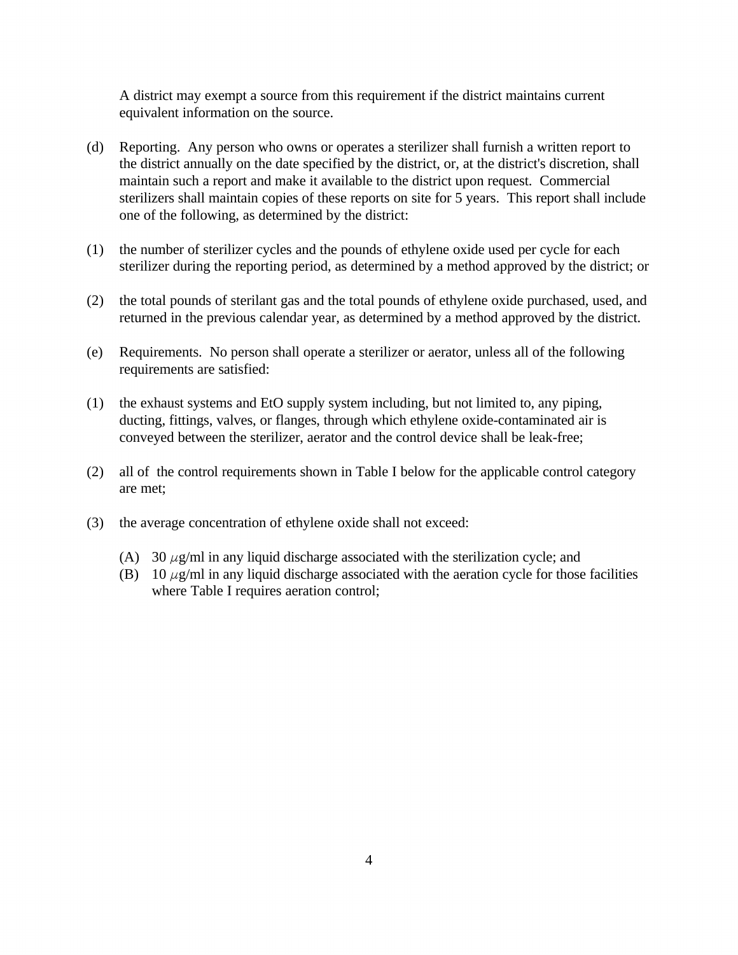A district may exempt a source from this requirement if the district maintains current equivalent information on the source.

- (d) Reporting. Any person who owns or operates a sterilizer shall furnish a written report to the district annually on the date specified by the district, or, at the district's discretion, shall maintain such a report and make it available to the district upon request. Commercial sterilizers shall maintain copies of these reports on site for 5 years. This report shall include one of the following, as determined by the district:
- (1) the number of sterilizer cycles and the pounds of ethylene oxide used per cycle for each sterilizer during the reporting period, as determined by a method approved by the district; or
- (2) the total pounds of sterilant gas and the total pounds of ethylene oxide purchased, used, and returned in the previous calendar year, as determined by a method approved by the district.
- (e) Requirements. No person shall operate a sterilizer or aerator, unless all of the following requirements are satisfied:
- (1) the exhaust systems and EtO supply system including, but not limited to, any piping, ducting, fittings, valves, or flanges, through which ethylene oxide-contaminated air is conveyed between the sterilizer, aerator and the control device shall be leak-free;
- (2) all of the control requirements shown in Table I below for the applicable control category are met;
- (3) the average concentration of ethylene oxide shall not exceed:
	- (A) 30  $\mu$ g/ml in any liquid discharge associated with the sterilization cycle; and
	- (B) 10  $\mu$ g/ml in any liquid discharge associated with the aeration cycle for those facilities where Table I requires aeration control;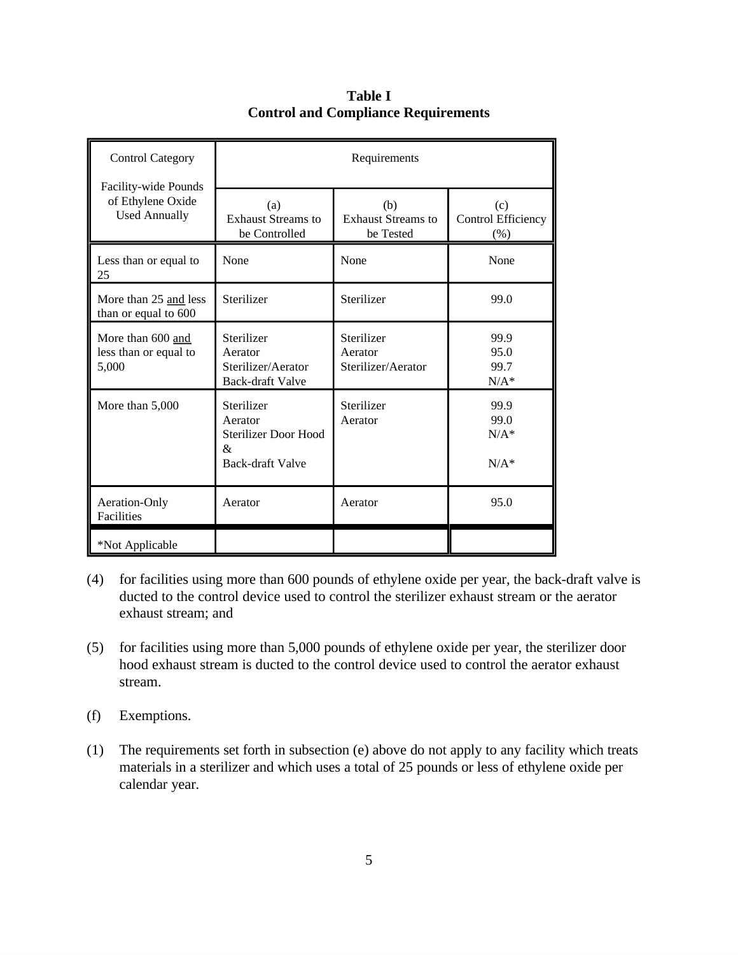| <b>Control Category</b><br>Facility-wide Pounds<br>of Ethylene Oxide<br><b>Used Annually</b> | Requirements                                                                         |                                               |                                     |
|----------------------------------------------------------------------------------------------|--------------------------------------------------------------------------------------|-----------------------------------------------|-------------------------------------|
|                                                                                              | (a)<br><b>Exhaust Streams to</b><br>be Controlled                                    | (b)<br><b>Exhaust Streams to</b><br>be Tested | (c)<br>Control Efficiency<br>$(\%)$ |
| Less than or equal to<br>25                                                                  | None                                                                                 | None                                          | None                                |
| More than 25 and less<br>than or equal to 600                                                | Sterilizer                                                                           | Sterilizer                                    | 99.0                                |
| More than 600 and<br>less than or equal to<br>5,000                                          | Sterilizer<br>Aerator<br>Sterilizer/Aerator<br><b>Back-draft Valve</b>               | Sterilizer<br>Aerator<br>Sterilizer/Aerator   | 99.9<br>95.0<br>99.7<br>$N/A^*$     |
| More than 5,000                                                                              | Sterilizer<br>Aerator<br><b>Sterilizer Door Hood</b><br>&<br><b>Back-draft Valve</b> | Sterilizer<br>Aerator                         | 99.9<br>99.0<br>$N/A^*$<br>$N/A^*$  |
| Aeration-Only<br>Facilities                                                                  | Aerator                                                                              | Aerator                                       | 95.0                                |
| *Not Applicable                                                                              |                                                                                      |                                               |                                     |

**Table I Control and Compliance Requirements** 

- (4) for facilities using more than 600 pounds of ethylene oxide per year, the back-draft valve is ducted to the control device used to control the sterilizer exhaust stream or the aerator exhaust stream; and
- (5) for facilities using more than 5,000 pounds of ethylene oxide per year, the sterilizer door hood exhaust stream is ducted to the control device used to control the aerator exhaust stream.
- (f) Exemptions.
- (1) The requirements set forth in subsection (e) above do not apply to any facility which treats materials in a sterilizer and which uses a total of 25 pounds or less of ethylene oxide per calendar year.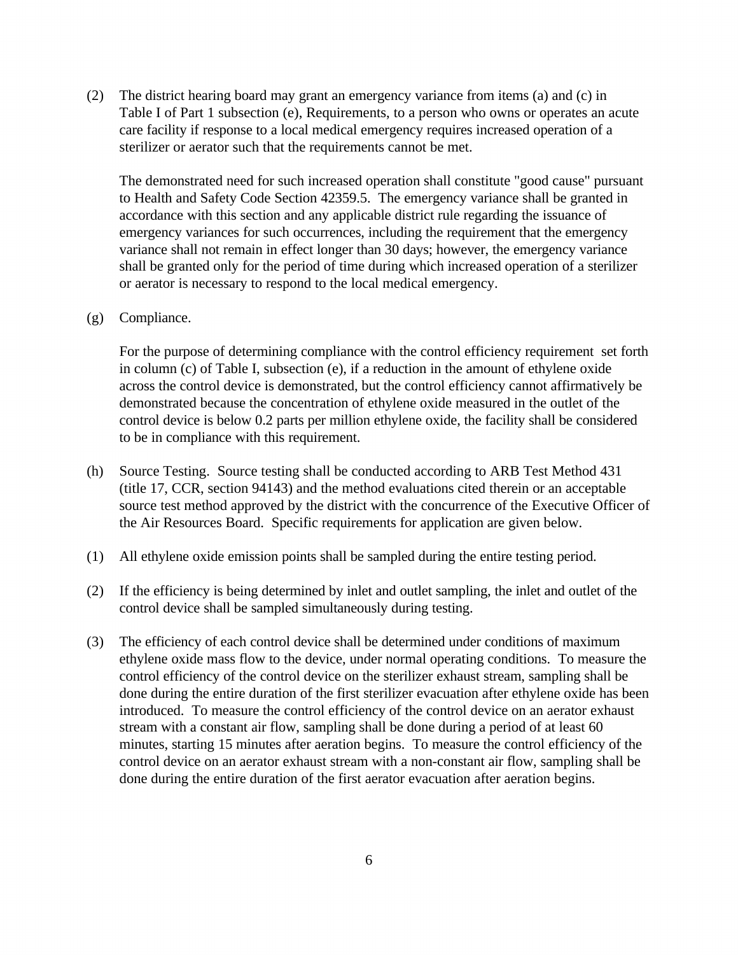(2) The district hearing board may grant an emergency variance from items (a) and (c) in Table I of Part 1 subsection (e), Requirements, to a person who owns or operates an acute care facility if response to a local medical emergency requires increased operation of a sterilizer or aerator such that the requirements cannot be met.

The demonstrated need for such increased operation shall constitute "good cause" pursuant to Health and Safety Code Section 42359.5. The emergency variance shall be granted in accordance with this section and any applicable district rule regarding the issuance of emergency variances for such occurrences, including the requirement that the emergency variance shall not remain in effect longer than 30 days; however, the emergency variance shall be granted only for the period of time during which increased operation of a sterilizer or aerator is necessary to respond to the local medical emergency.

#### (g) Compliance.

For the purpose of determining compliance with the control efficiency requirement set forth in column (c) of Table I, subsection (e), if a reduction in the amount of ethylene oxide across the control device is demonstrated, but the control efficiency cannot affirmatively be demonstrated because the concentration of ethylene oxide measured in the outlet of the control device is below 0.2 parts per million ethylene oxide, the facility shall be considered to be in compliance with this requirement.

- (h) Source Testing. Source testing shall be conducted according to ARB Test Method 431 (title 17, CCR, section 94143) and the method evaluations cited therein or an acceptable source test method approved by the district with the concurrence of the Executive Officer of the Air Resources Board. Specific requirements for application are given below.
- (1) All ethylene oxide emission points shall be sampled during the entire testing period.
- (2) If the efficiency is being determined by inlet and outlet sampling, the inlet and outlet of the control device shall be sampled simultaneously during testing.
- (3) The efficiency of each control device shall be determined under conditions of maximum ethylene oxide mass flow to the device, under normal operating conditions. To measure the control efficiency of the control device on the sterilizer exhaust stream, sampling shall be done during the entire duration of the first sterilizer evacuation after ethylene oxide has been introduced. To measure the control efficiency of the control device on an aerator exhaust stream with a constant air flow, sampling shall be done during a period of at least 60 minutes, starting 15 minutes after aeration begins. To measure the control efficiency of the control device on an aerator exhaust stream with a non-constant air flow, sampling shall be done during the entire duration of the first aerator evacuation after aeration begins.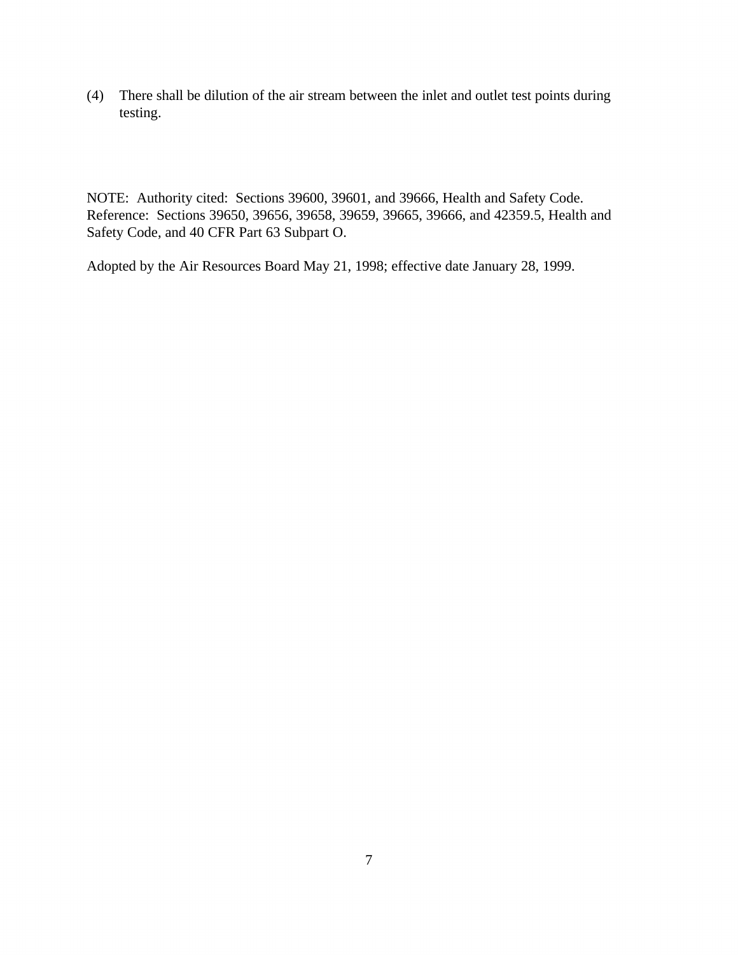(4) There shall be dilution of the air stream between the inlet and outlet test points during testing.

NOTE: Authority cited: Sections 39600, 39601, and 39666, Health and Safety Code. Reference: Sections 39650, 39656, 39658, 39659, 39665, 39666, and 42359.5, Health and Safety Code, and 40 CFR Part 63 Subpart O.

Adopted by the Air Resources Board May 21, 1998; effective date January 28, 1999.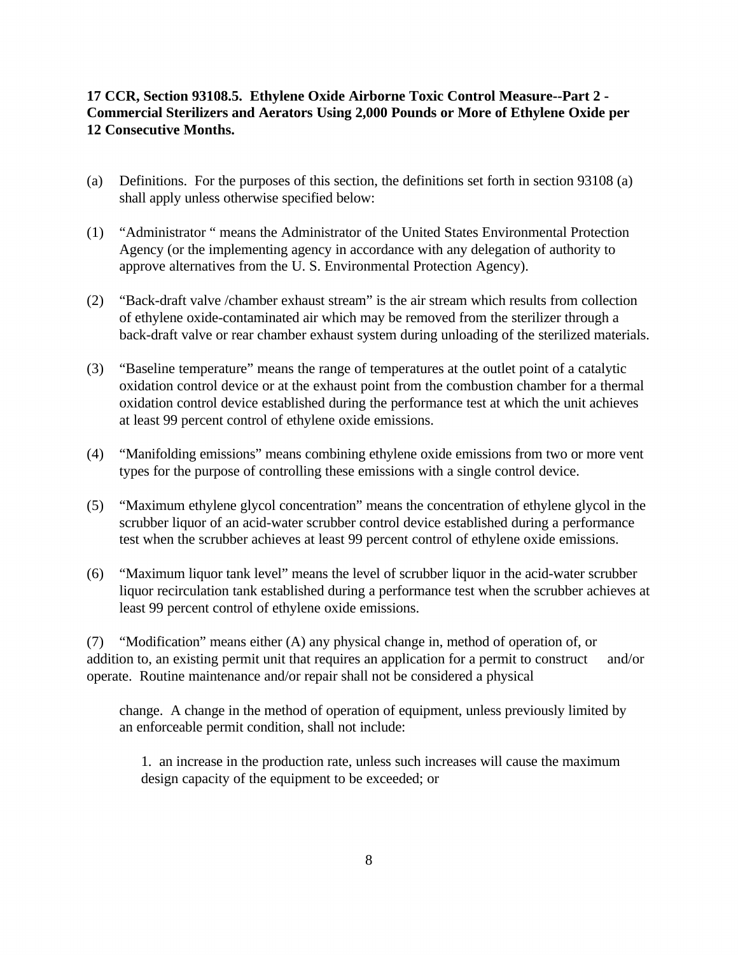#### **17 CCR, Section 93108.5. Ethylene Oxide Airborne Toxic Control Measure--Part 2 - Commercial Sterilizers and Aerators Using 2,000 Pounds or More of Ethylene Oxide per 12 Consecutive Months.**

- (a) Definitions. For the purposes of this section, the definitions set forth in section 93108 (a) shall apply unless otherwise specified below:
- (1) "Administrator " means the Administrator of the United States Environmental Protection Agency (or the implementing agency in accordance with any delegation of authority to approve alternatives from the U. S. Environmental Protection Agency).
- (2) "Back-draft valve /chamber exhaust stream" is the air stream which results from collection of ethylene oxide-contaminated air which may be removed from the sterilizer through a back-draft valve or rear chamber exhaust system during unloading of the sterilized materials.
- (3) "Baseline temperature" means the range of temperatures at the outlet point of a catalytic oxidation control device or at the exhaust point from the combustion chamber for a thermal oxidation control device established during the performance test at which the unit achieves at least 99 percent control of ethylene oxide emissions.
- (4) "Manifolding emissions" means combining ethylene oxide emissions from two or more vent types for the purpose of controlling these emissions with a single control device.
- (5) "Maximum ethylene glycol concentration" means the concentration of ethylene glycol in the scrubber liquor of an acid-water scrubber control device established during a performance test when the scrubber achieves at least 99 percent control of ethylene oxide emissions.
- (6) "Maximum liquor tank level" means the level of scrubber liquor in the acid-water scrubber liquor recirculation tank established during a performance test when the scrubber achieves at least 99 percent control of ethylene oxide emissions.

(7) "Modification" means either (A) any physical change in, method of operation of, or addition to, an existing permit unit that requires an application for a permit to construct and/or operate. Routine maintenance and/or repair shall not be considered a physical

change. A change in the method of operation of equipment, unless previously limited by an enforceable permit condition, shall not include:

1. an increase in the production rate, unless such increases will cause the maximum design capacity of the equipment to be exceeded; or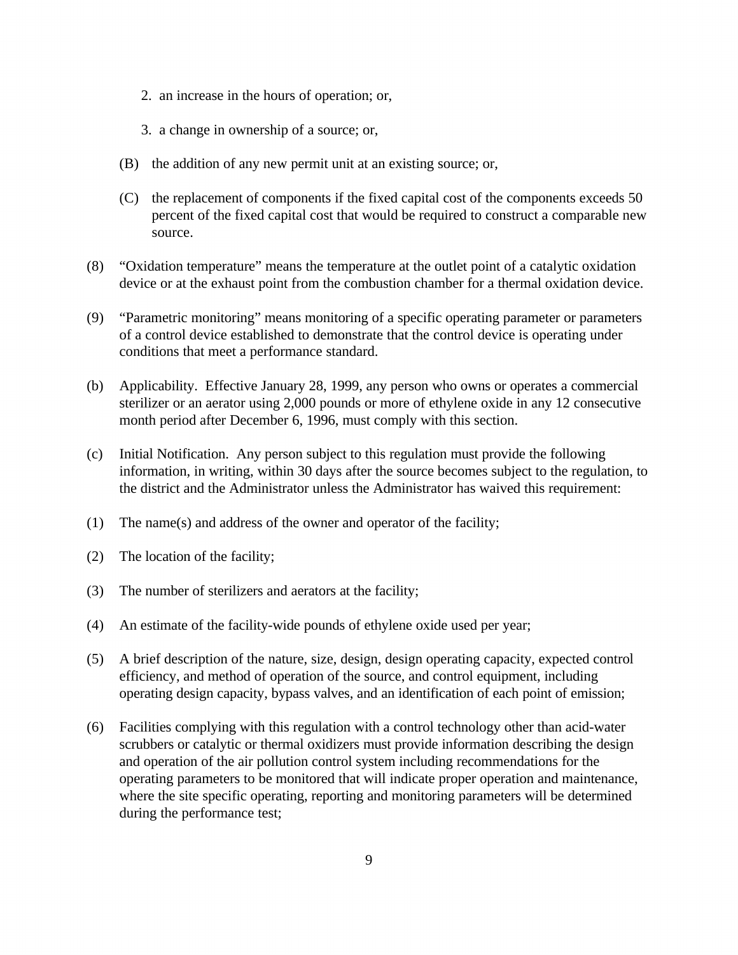- 2. an increase in the hours of operation; or,
- 3. a change in ownership of a source; or,
- (B) the addition of any new permit unit at an existing source; or,
- (C) the replacement of components if the fixed capital cost of the components exceeds 50 percent of the fixed capital cost that would be required to construct a comparable new source.
- (8) "Oxidation temperature" means the temperature at the outlet point of a catalytic oxidation device or at the exhaust point from the combustion chamber for a thermal oxidation device.
- (9) "Parametric monitoring" means monitoring of a specific operating parameter or parameters of a control device established to demonstrate that the control device is operating under conditions that meet a performance standard.
- (b) Applicability. Effective January 28, 1999, any person who owns or operates a commercial sterilizer or an aerator using 2,000 pounds or more of ethylene oxide in any 12 consecutive month period after December 6, 1996, must comply with this section.
- (c) Initial Notification. Any person subject to this regulation must provide the following information, in writing, within 30 days after the source becomes subject to the regulation, to the district and the Administrator unless the Administrator has waived this requirement:
- (1) The name(s) and address of the owner and operator of the facility;
- (2) The location of the facility;
- (3) The number of sterilizers and aerators at the facility;
- (4) An estimate of the facility-wide pounds of ethylene oxide used per year;
- (5) A brief description of the nature, size, design, design operating capacity, expected control efficiency, and method of operation of the source, and control equipment, including operating design capacity, bypass valves, and an identification of each point of emission;
- (6) Facilities complying with this regulation with a control technology other than acid-water scrubbers or catalytic or thermal oxidizers must provide information describing the design and operation of the air pollution control system including recommendations for the operating parameters to be monitored that will indicate proper operation and maintenance, where the site specific operating, reporting and monitoring parameters will be determined during the performance test;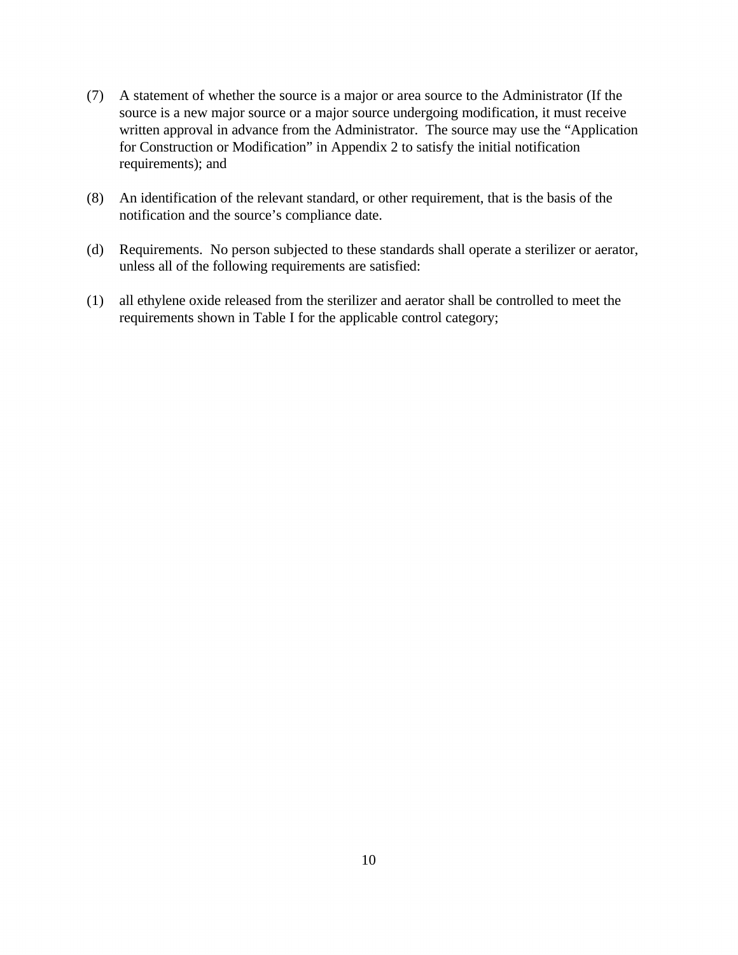- (7) A statement of whether the source is a major or area source to the Administrator (If the source is a new major source or a major source undergoing modification, it must receive written approval in advance from the Administrator. The source may use the "Application for Construction or Modification" in Appendix 2 to satisfy the initial notification requirements); and
- (8) An identification of the relevant standard, or other requirement, that is the basis of the notification and the source's compliance date.
- (d) Requirements. No person subjected to these standards shall operate a sterilizer or aerator, unless all of the following requirements are satisfied:
- (1) all ethylene oxide released from the sterilizer and aerator shall be controlled to meet the requirements shown in Table I for the applicable control category;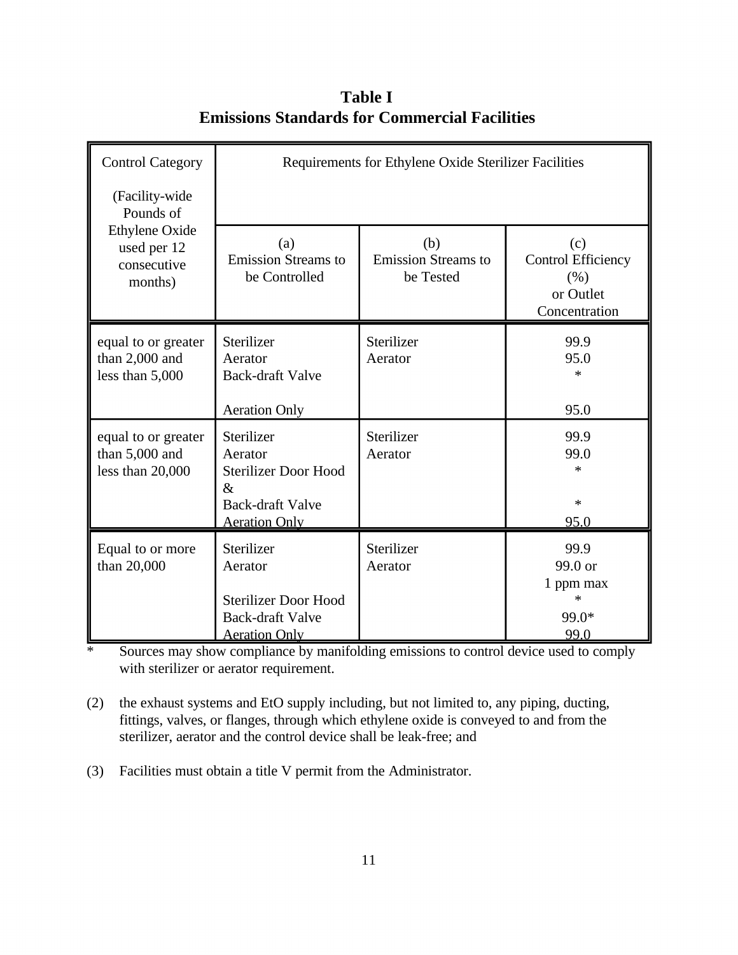| <b>Control Category</b>                                        | Requirements for Ethylene Oxide Sterilizer Facilities                                                           |                                                |                                                                        |  |
|----------------------------------------------------------------|-----------------------------------------------------------------------------------------------------------------|------------------------------------------------|------------------------------------------------------------------------|--|
| (Facility-wide<br>Pounds of                                    |                                                                                                                 |                                                |                                                                        |  |
| <b>Ethylene Oxide</b><br>used per 12<br>consecutive<br>months) | (a)<br><b>Emission Streams to</b><br>be Controlled                                                              | (b)<br><b>Emission Streams to</b><br>be Tested | (c)<br><b>Control Efficiency</b><br>(% )<br>or Outlet<br>Concentration |  |
| equal to or greater<br>than 2,000 and<br>less than 5,000       | Sterilizer<br>Aerator<br><b>Back-draft Valve</b>                                                                | Sterilizer<br>Aerator                          | 99.9<br>95.0<br>$\ast$                                                 |  |
|                                                                | <b>Aeration Only</b>                                                                                            |                                                | 95.0                                                                   |  |
| equal to or greater<br>than 5,000 and<br>less than 20,000      | Sterilizer<br>Aerator<br><b>Sterilizer Door Hood</b><br>$\&$<br><b>Back-draft Valve</b><br><b>Aeration Only</b> | Sterilizer<br>Aerator                          | 99.9<br>99.0<br>$\ast$<br>$\ast$<br><u>95.0</u>                        |  |
| Equal to or more<br>than 20,000                                | Sterilizer<br>Aerator<br><b>Sterilizer Door Hood</b><br><b>Back-draft Valve</b><br><b>Aeration Only</b>         | Sterilizer<br>Aerator                          | 99.9<br>99.0 or<br>1 ppm max<br>$\ast$<br>99.0*<br>99.0                |  |

**Table I Emissions Standards for Commercial Facilities** 

\* Sources may show compliance by manifolding emissions to control device used to comply with sterilizer or aerator requirement.

(2) the exhaust systems and EtO supply including, but not limited to, any piping, ducting, fittings, valves, or flanges, through which ethylene oxide is conveyed to and from the sterilizer, aerator and the control device shall be leak-free; and

(3) Facilities must obtain a title V permit from the Administrator.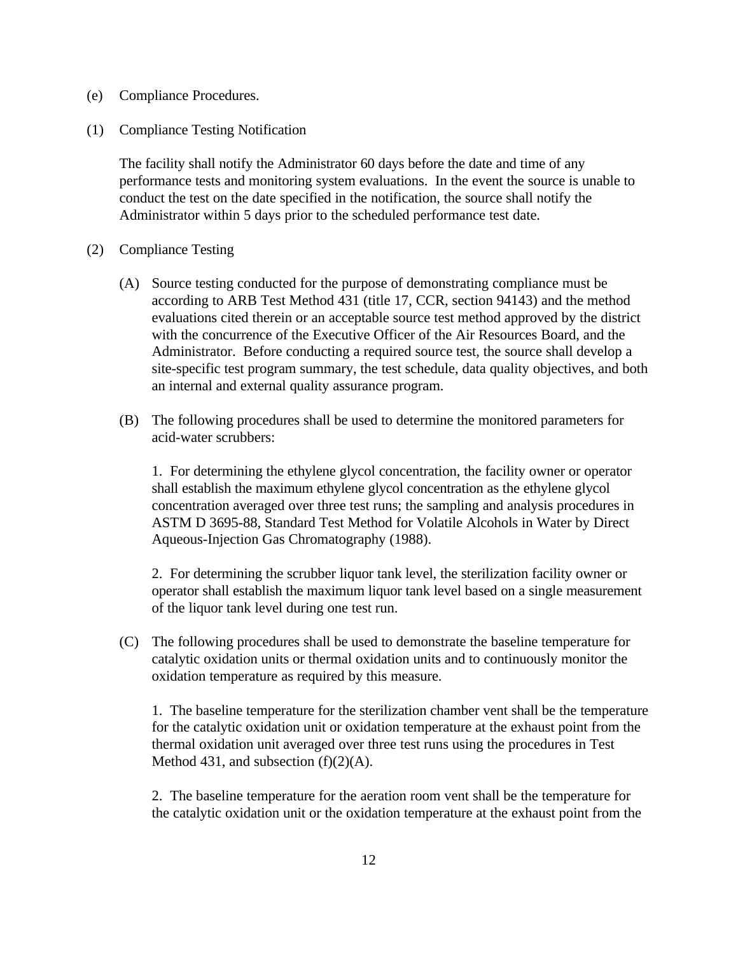- (e) Compliance Procedures.
- (1) Compliance Testing Notification

The facility shall notify the Administrator 60 days before the date and time of any performance tests and monitoring system evaluations. In the event the source is unable to conduct the test on the date specified in the notification, the source shall notify the Administrator within 5 days prior to the scheduled performance test date.

- (2) Compliance Testing
	- (A) Source testing conducted for the purpose of demonstrating compliance must be according to ARB Test Method 431 (title 17, CCR, section 94143) and the method evaluations cited therein or an acceptable source test method approved by the district with the concurrence of the Executive Officer of the Air Resources Board, and the Administrator. Before conducting a required source test, the source shall develop a site-specific test program summary, the test schedule, data quality objectives, and both an internal and external quality assurance program.
	- (B) The following procedures shall be used to determine the monitored parameters for acid-water scrubbers:

1. For determining the ethylene glycol concentration, the facility owner or operator shall establish the maximum ethylene glycol concentration as the ethylene glycol concentration averaged over three test runs; the sampling and analysis procedures in ASTM D 3695-88, Standard Test Method for Volatile Alcohols in Water by Direct Aqueous-Injection Gas Chromatography (1988).

2. For determining the scrubber liquor tank level, the sterilization facility owner or operator shall establish the maximum liquor tank level based on a single measurement of the liquor tank level during one test run.

(C) The following procedures shall be used to demonstrate the baseline temperature for catalytic oxidation units or thermal oxidation units and to continuously monitor the oxidation temperature as required by this measure.

1. The baseline temperature for the sterilization chamber vent shall be the temperature for the catalytic oxidation unit or oxidation temperature at the exhaust point from the thermal oxidation unit averaged over three test runs using the procedures in Test Method 431, and subsection  $(f)(2)(A)$ .

2. The baseline temperature for the aeration room vent shall be the temperature for the catalytic oxidation unit or the oxidation temperature at the exhaust point from the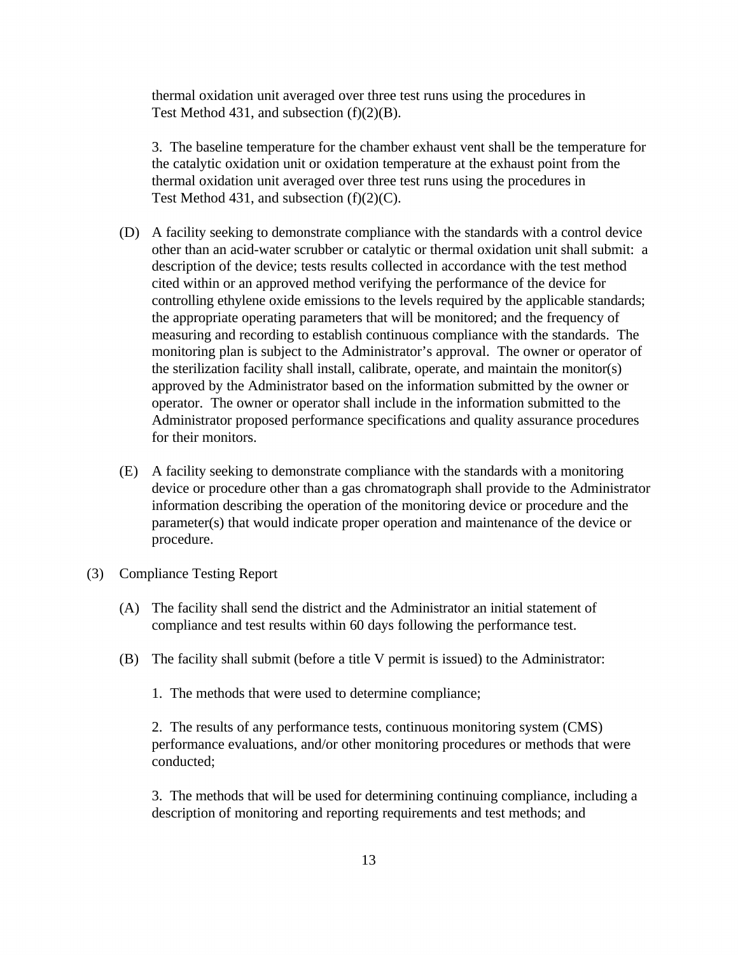thermal oxidation unit averaged over three test runs using the procedures in Test Method 431, and subsection  $(f)(2)(B)$ .

3. The baseline temperature for the chamber exhaust vent shall be the temperature for the catalytic oxidation unit or oxidation temperature at the exhaust point from the thermal oxidation unit averaged over three test runs using the procedures in Test Method 431, and subsection  $(f)(2)(C)$ .

- (D) A facility seeking to demonstrate compliance with the standards with a control device other than an acid-water scrubber or catalytic or thermal oxidation unit shall submit: a description of the device; tests results collected in accordance with the test method cited within or an approved method verifying the performance of the device for controlling ethylene oxide emissions to the levels required by the applicable standards; the appropriate operating parameters that will be monitored; and the frequency of measuring and recording to establish continuous compliance with the standards. The monitoring plan is subject to the Administrator's approval. The owner or operator of the sterilization facility shall install, calibrate, operate, and maintain the monitor(s) approved by the Administrator based on the information submitted by the owner or operator. The owner or operator shall include in the information submitted to the Administrator proposed performance specifications and quality assurance procedures for their monitors.
- (E) A facility seeking to demonstrate compliance with the standards with a monitoring device or procedure other than a gas chromatograph shall provide to the Administrator information describing the operation of the monitoring device or procedure and the parameter(s) that would indicate proper operation and maintenance of the device or procedure.
- (3) Compliance Testing Report
	- (A) The facility shall send the district and the Administrator an initial statement of compliance and test results within 60 days following the performance test.
	- (B) The facility shall submit (before a title V permit is issued) to the Administrator:
		- 1. The methods that were used to determine compliance;

2. The results of any performance tests, continuous monitoring system (CMS) performance evaluations, and/or other monitoring procedures or methods that were conducted;

3. The methods that will be used for determining continuing compliance, including a description of monitoring and reporting requirements and test methods; and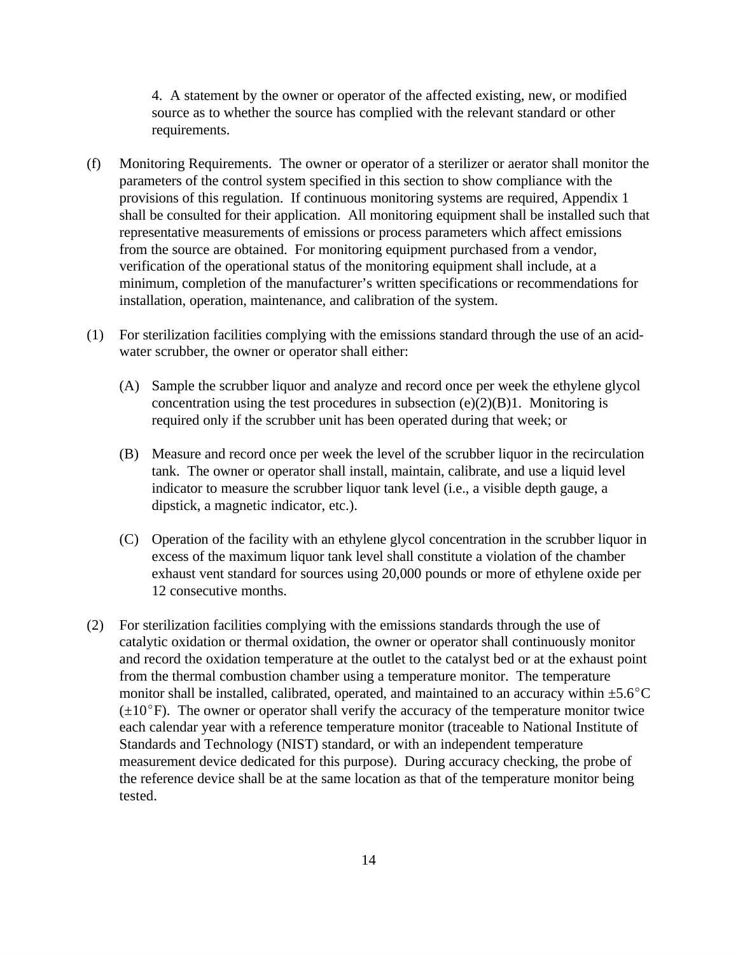4. A statement by the owner or operator of the affected existing, new, or modified source as to whether the source has complied with the relevant standard or other requirements.

- (f) Monitoring Requirements. The owner or operator of a sterilizer or aerator shall monitor the parameters of the control system specified in this section to show compliance with the provisions of this regulation. If continuous monitoring systems are required, Appendix 1 shall be consulted for their application. All monitoring equipment shall be installed such that representative measurements of emissions or process parameters which affect emissions from the source are obtained. For monitoring equipment purchased from a vendor, verification of the operational status of the monitoring equipment shall include, at a minimum, completion of the manufacturer's written specifications or recommendations for installation, operation, maintenance, and calibration of the system.
- (1) For sterilization facilities complying with the emissions standard through the use of an acidwater scrubber, the owner or operator shall either:
	- (A) Sample the scrubber liquor and analyze and record once per week the ethylene glycol concentration using the test procedures in subsection  $(e)(2)(B)1$ . Monitoring is required only if the scrubber unit has been operated during that week; or
	- (B) Measure and record once per week the level of the scrubber liquor in the recirculation tank. The owner or operator shall install, maintain, calibrate, and use a liquid level indicator to measure the scrubber liquor tank level (i.e., a visible depth gauge, a dipstick, a magnetic indicator, etc.).
	- (C) Operation of the facility with an ethylene glycol concentration in the scrubber liquor in excess of the maximum liquor tank level shall constitute a violation of the chamber exhaust vent standard for sources using 20,000 pounds or more of ethylene oxide per 12 consecutive months.
- (2) For sterilization facilities complying with the emissions standards through the use of catalytic oxidation or thermal oxidation, the owner or operator shall continuously monitor and record the oxidation temperature at the outlet to the catalyst bed or at the exhaust point from the thermal combustion chamber using a temperature monitor. The temperature monitor shall be installed, calibrated, operated, and maintained to an accuracy within  $\pm$ 5.6<sup>o</sup>C  $(\pm 10^{\circ}F)$ . The owner or operator shall verify the accuracy of the temperature monitor twice each calendar year with a reference temperature monitor (traceable to National Institute of Standards and Technology (NIST) standard, or with an independent temperature measurement device dedicated for this purpose). During accuracy checking, the probe of the reference device shall be at the same location as that of the temperature monitor being tested.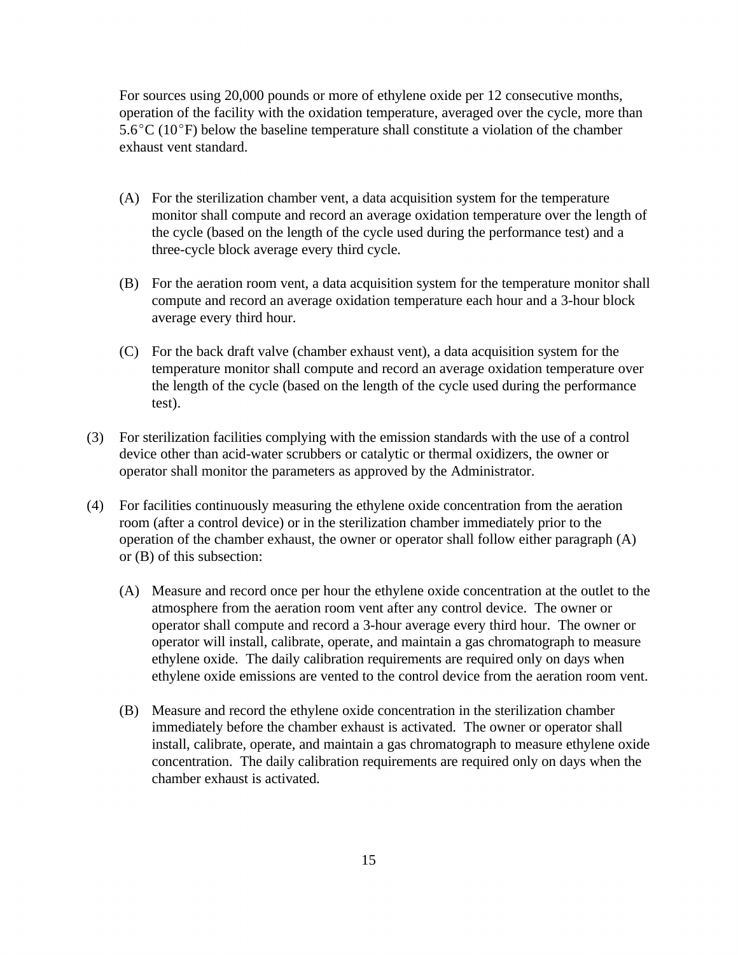For sources using 20,000 pounds or more of ethylene oxide per 12 consecutive months, operation of the facility with the oxidation temperature, averaged over the cycle, more than  $5.6^{\circ}$ C (10<sup>o</sup>F) below the baseline temperature shall constitute a violation of the chamber exhaust vent standard.

- (A) For the sterilization chamber vent, a data acquisition system for the temperature monitor shall compute and record an average oxidation temperature over the length of the cycle (based on the length of the cycle used during the performance test) and a three-cycle block average every third cycle.
- (B) For the aeration room vent, a data acquisition system for the temperature monitor shall compute and record an average oxidation temperature each hour and a 3-hour block average every third hour.
- (C) For the back draft valve (chamber exhaust vent), a data acquisition system for the temperature monitor shall compute and record an average oxidation temperature over the length of the cycle (based on the length of the cycle used during the performance test).
- (3) For sterilization facilities complying with the emission standards with the use of a control device other than acid-water scrubbers or catalytic or thermal oxidizers, the owner or operator shall monitor the parameters as approved by the Administrator.
- (4) For facilities continuously measuring the ethylene oxide concentration from the aeration room (after a control device) or in the sterilization chamber immediately prior to the operation of the chamber exhaust, the owner or operator shall follow either paragraph (A) or (B) of this subsection:
	- (A) Measure and record once per hour the ethylene oxide concentration at the outlet to the atmosphere from the aeration room vent after any control device. The owner or operator shall compute and record a 3-hour average every third hour. The owner or operator will install, calibrate, operate, and maintain a gas chromatograph to measure ethylene oxide. The daily calibration requirements are required only on days when ethylene oxide emissions are vented to the control device from the aeration room vent.
	- (B) Measure and record the ethylene oxide concentration in the sterilization chamber immediately before the chamber exhaust is activated. The owner or operator shall install, calibrate, operate, and maintain a gas chromatograph to measure ethylene oxide concentration. The daily calibration requirements are required only on days when the chamber exhaust is activated.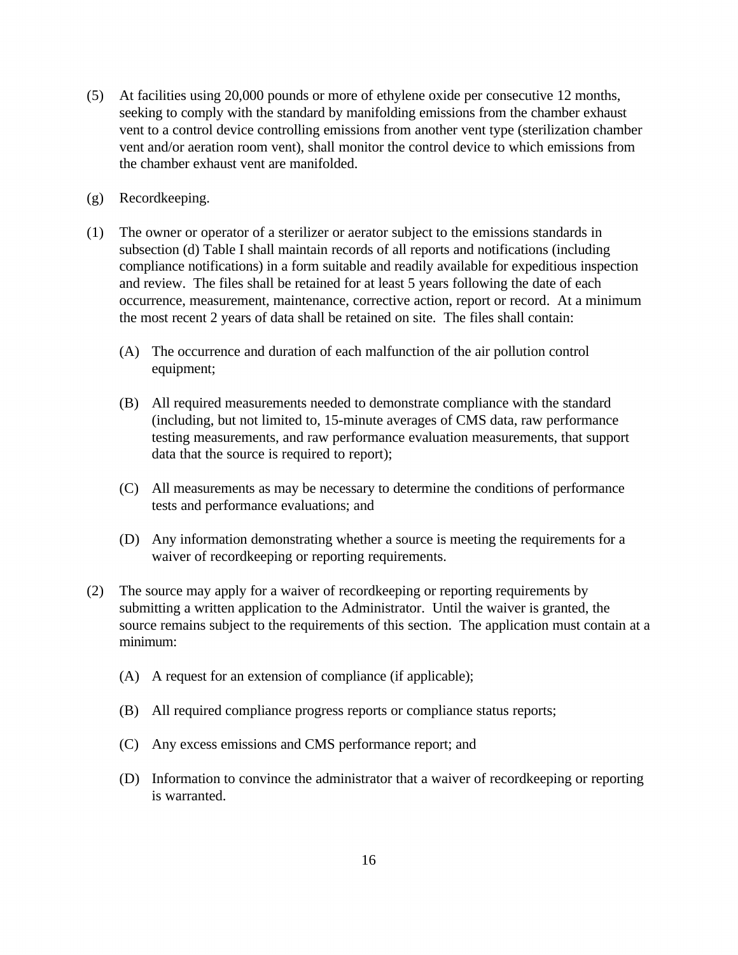- (5) At facilities using 20,000 pounds or more of ethylene oxide per consecutive 12 months, seeking to comply with the standard by manifolding emissions from the chamber exhaust vent to a control device controlling emissions from another vent type (sterilization chamber vent and/or aeration room vent), shall monitor the control device to which emissions from the chamber exhaust vent are manifolded.
- (g) Recordkeeping.
- (1) The owner or operator of a sterilizer or aerator subject to the emissions standards in subsection (d) Table I shall maintain records of all reports and notifications (including compliance notifications) in a form suitable and readily available for expeditious inspection and review. The files shall be retained for at least 5 years following the date of each occurrence, measurement, maintenance, corrective action, report or record. At a minimum the most recent 2 years of data shall be retained on site. The files shall contain:
	- (A) The occurrence and duration of each malfunction of the air pollution control equipment;
	- (B) All required measurements needed to demonstrate compliance with the standard (including, but not limited to, 15-minute averages of CMS data, raw performance testing measurements, and raw performance evaluation measurements, that support data that the source is required to report);
	- (C) All measurements as may be necessary to determine the conditions of performance tests and performance evaluations; and
	- (D) Any information demonstrating whether a source is meeting the requirements for a waiver of recordkeeping or reporting requirements.
- (2) The source may apply for a waiver of recordkeeping or reporting requirements by submitting a written application to the Administrator. Until the waiver is granted, the source remains subject to the requirements of this section. The application must contain at a minimum:
	- (A) A request for an extension of compliance (if applicable);
	- (B) All required compliance progress reports or compliance status reports;
	- (C) Any excess emissions and CMS performance report; and
	- (D) Information to convince the administrator that a waiver of recordkeeping or reporting is warranted.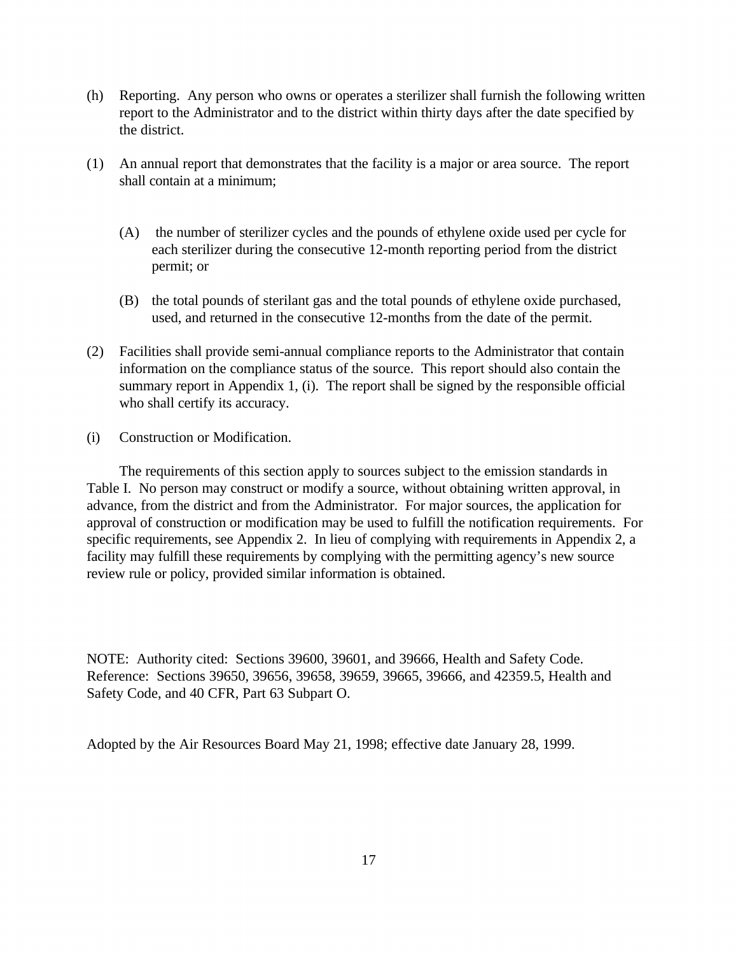- (h) Reporting. Any person who owns or operates a sterilizer shall furnish the following written report to the Administrator and to the district within thirty days after the date specified by the district.
- (1) An annual report that demonstrates that the facility is a major or area source. The report shall contain at a minimum;
	- (A) the number of sterilizer cycles and the pounds of ethylene oxide used per cycle for each sterilizer during the consecutive 12-month reporting period from the district permit; or
	- (B) the total pounds of sterilant gas and the total pounds of ethylene oxide purchased, used, and returned in the consecutive 12-months from the date of the permit.
- (2) Facilities shall provide semi-annual compliance reports to the Administrator that contain information on the compliance status of the source. This report should also contain the summary report in Appendix 1, (i). The report shall be signed by the responsible official who shall certify its accuracy.
- (i) Construction or Modification.

The requirements of this section apply to sources subject to the emission standards in Table I. No person may construct or modify a source, without obtaining written approval, in advance, from the district and from the Administrator. For major sources, the application for approval of construction or modification may be used to fulfill the notification requirements. For specific requirements, see Appendix 2. In lieu of complying with requirements in Appendix 2, a facility may fulfill these requirements by complying with the permitting agency's new source review rule or policy, provided similar information is obtained.

NOTE: Authority cited: Sections 39600, 39601, and 39666, Health and Safety Code. Reference: Sections 39650, 39656, 39658, 39659, 39665, 39666, and 42359.5, Health and Safety Code, and 40 CFR, Part 63 Subpart O.

Adopted by the Air Resources Board May 21, 1998; effective date January 28, 1999.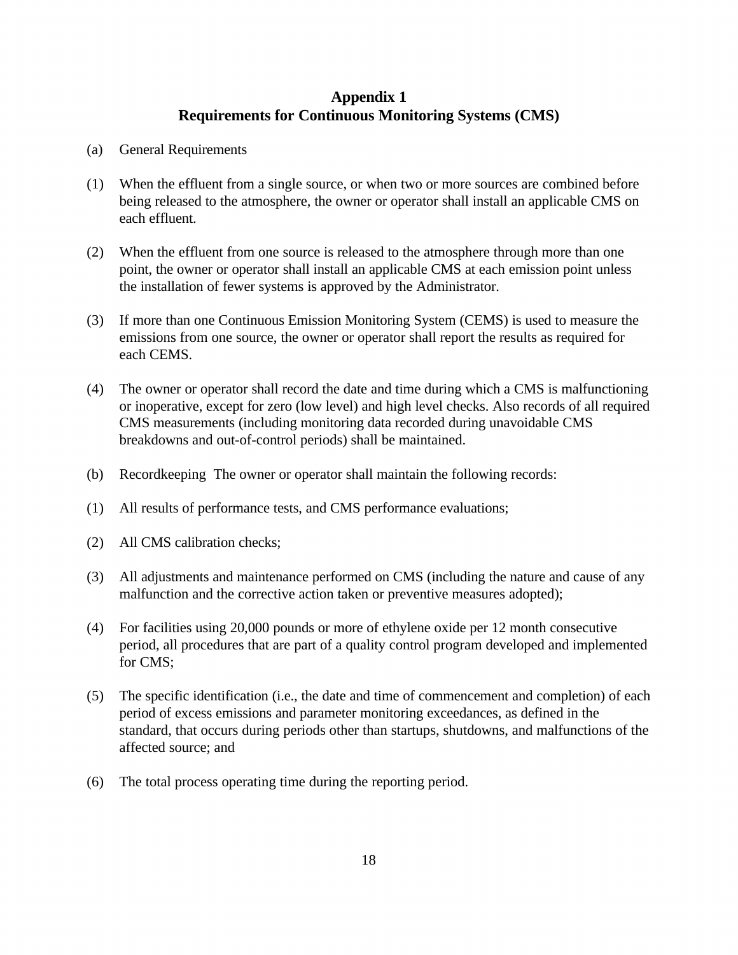### **Appendix 1 Requirements for Continuous Monitoring Systems (CMS)**

- (a) General Requirements
- (1) When the effluent from a single source, or when two or more sources are combined before being released to the atmosphere, the owner or operator shall install an applicable CMS on each effluent.
- (2) When the effluent from one source is released to the atmosphere through more than one point, the owner or operator shall install an applicable CMS at each emission point unless the installation of fewer systems is approved by the Administrator.
- (3) If more than one Continuous Emission Monitoring System (CEMS) is used to measure the emissions from one source, the owner or operator shall report the results as required for each CEMS.
- (4) The owner or operator shall record the date and time during which a CMS is malfunctioning or inoperative, except for zero (low level) and high level checks. Also records of all required CMS measurements (including monitoring data recorded during unavoidable CMS breakdowns and out-of-control periods) shall be maintained.
- (b) Recordkeeping The owner or operator shall maintain the following records:
- (1) All results of performance tests, and CMS performance evaluations;
- (2) All CMS calibration checks;
- (3) All adjustments and maintenance performed on CMS (including the nature and cause of any malfunction and the corrective action taken or preventive measures adopted);
- (4) For facilities using 20,000 pounds or more of ethylene oxide per 12 month consecutive period, all procedures that are part of a quality control program developed and implemented for CMS;
- (5) The specific identification (i.e., the date and time of commencement and completion) of each period of excess emissions and parameter monitoring exceedances, as defined in the standard, that occurs during periods other than startups, shutdowns, and malfunctions of the affected source; and
- (6) The total process operating time during the reporting period.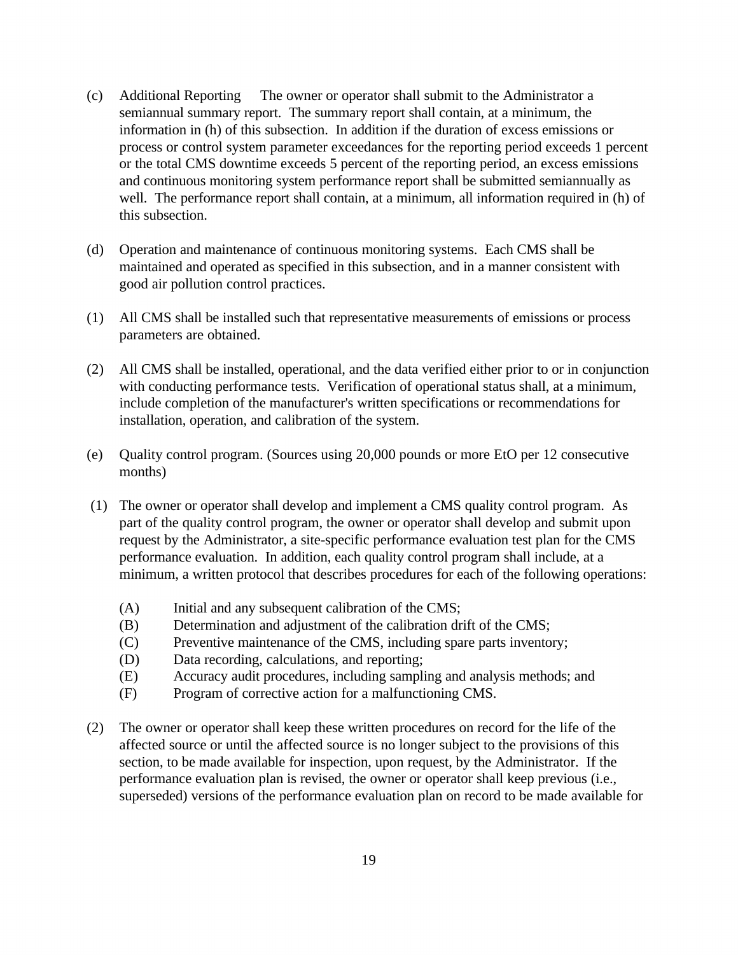- (c) Additional Reporting The owner or operator shall submit to the Administrator a semiannual summary report. The summary report shall contain, at a minimum, the information in (h) of this subsection. In addition if the duration of excess emissions or process or control system parameter exceedances for the reporting period exceeds 1 percent or the total CMS downtime exceeds 5 percent of the reporting period, an excess emissions and continuous monitoring system performance report shall be submitted semiannually as well. The performance report shall contain, at a minimum, all information required in (h) of this subsection.
- (d) Operation and maintenance of continuous monitoring systems. Each CMS shall be maintained and operated as specified in this subsection, and in a manner consistent with good air pollution control practices.
- (1) All CMS shall be installed such that representative measurements of emissions or process parameters are obtained.
- (2) All CMS shall be installed, operational, and the data verified either prior to or in conjunction with conducting performance tests. Verification of operational status shall, at a minimum, include completion of the manufacturer's written specifications or recommendations for installation, operation, and calibration of the system.
- (e) Quality control program. (Sources using 20,000 pounds or more EtO per 12 consecutive months)
- (1) The owner or operator shall develop and implement a CMS quality control program. As part of the quality control program, the owner or operator shall develop and submit upon request by the Administrator, a site-specific performance evaluation test plan for the CMS performance evaluation. In addition, each quality control program shall include, at a minimum, a written protocol that describes procedures for each of the following operations:
	- (A) Initial and any subsequent calibration of the CMS;
	- (B) Determination and adjustment of the calibration drift of the CMS;
	- (C) Preventive maintenance of the CMS, including spare parts inventory;
	- (D) Data recording, calculations, and reporting;
	- (E) Accuracy audit procedures, including sampling and analysis methods; and
	- (F) Program of corrective action for a malfunctioning CMS.
- (2) The owner or operator shall keep these written procedures on record for the life of the affected source or until the affected source is no longer subject to the provisions of this section, to be made available for inspection, upon request, by the Administrator. If the performance evaluation plan is revised, the owner or operator shall keep previous (i.e., superseded) versions of the performance evaluation plan on record to be made available for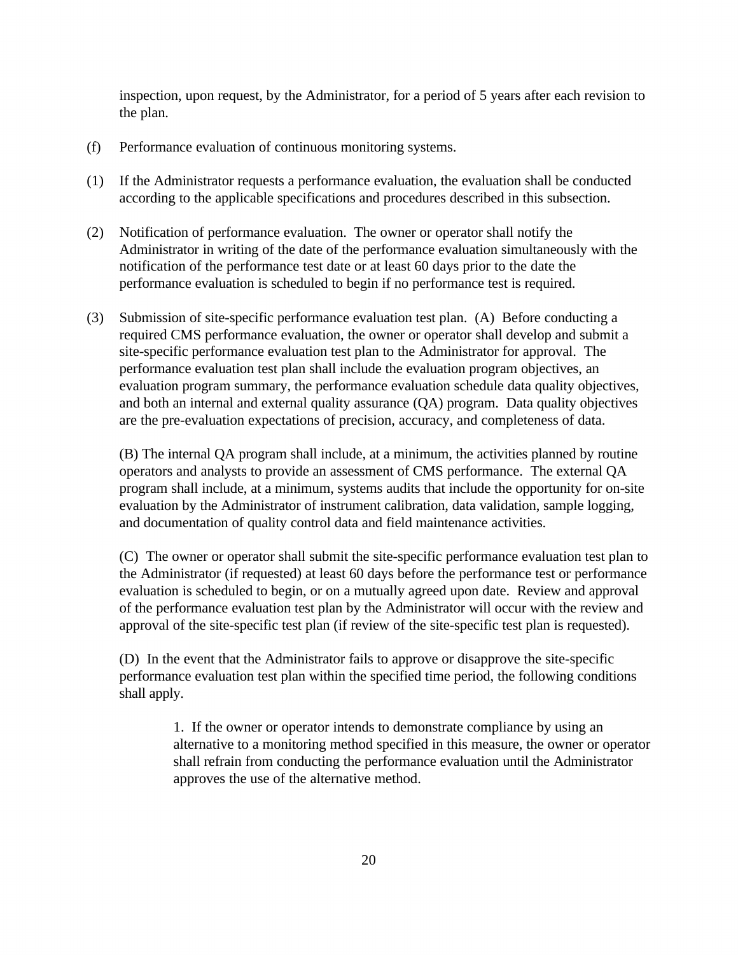inspection, upon request, by the Administrator, for a period of 5 years after each revision to the plan.

- (f) Performance evaluation of continuous monitoring systems.
- (1) If the Administrator requests a performance evaluation, the evaluation shall be conducted according to the applicable specifications and procedures described in this subsection.
- (2) Notification of performance evaluation. The owner or operator shall notify the Administrator in writing of the date of the performance evaluation simultaneously with the notification of the performance test date or at least 60 days prior to the date the performance evaluation is scheduled to begin if no performance test is required.
- (3) Submission of site-specific performance evaluation test plan. (A) Before conducting a required CMS performance evaluation, the owner or operator shall develop and submit a site-specific performance evaluation test plan to the Administrator for approval. The performance evaluation test plan shall include the evaluation program objectives, an evaluation program summary, the performance evaluation schedule data quality objectives, and both an internal and external quality assurance (QA) program. Data quality objectives are the pre-evaluation expectations of precision, accuracy, and completeness of data.

(B) The internal QA program shall include, at a minimum, the activities planned by routine operators and analysts to provide an assessment of CMS performance. The external QA program shall include, at a minimum, systems audits that include the opportunity for on-site evaluation by the Administrator of instrument calibration, data validation, sample logging, and documentation of quality control data and field maintenance activities.

(C) The owner or operator shall submit the site-specific performance evaluation test plan to the Administrator (if requested) at least 60 days before the performance test or performance evaluation is scheduled to begin, or on a mutually agreed upon date. Review and approval of the performance evaluation test plan by the Administrator will occur with the review and approval of the site-specific test plan (if review of the site-specific test plan is requested).

(D) In the event that the Administrator fails to approve or disapprove the site-specific performance evaluation test plan within the specified time period, the following conditions shall apply.

> 1. If the owner or operator intends to demonstrate compliance by using an alternative to a monitoring method specified in this measure, the owner or operator shall refrain from conducting the performance evaluation until the Administrator approves the use of the alternative method.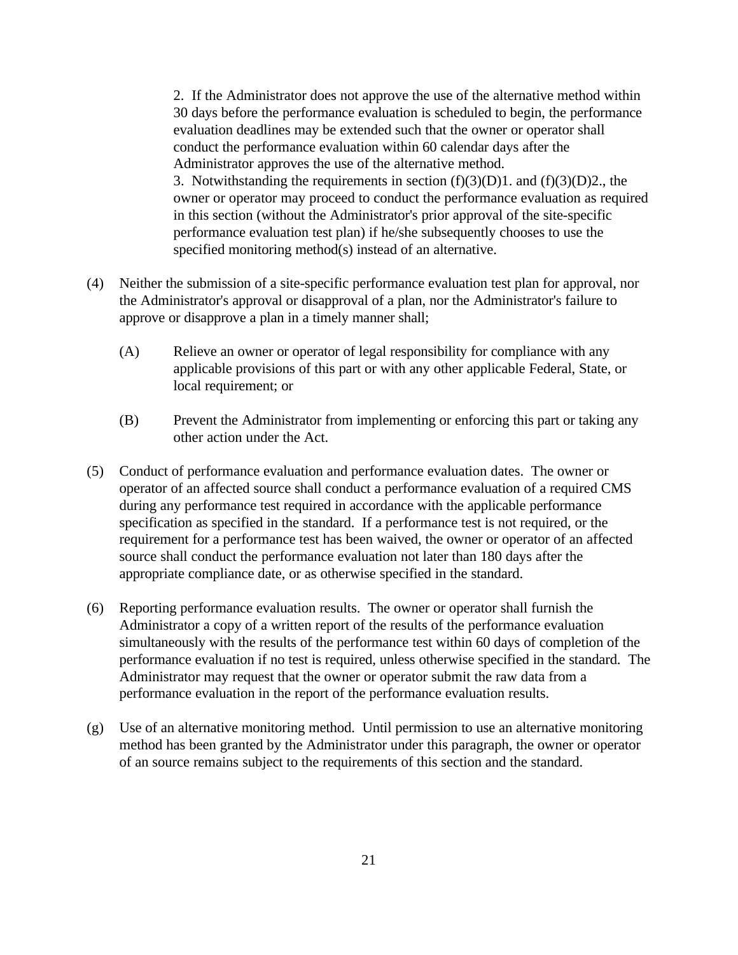2. If the Administrator does not approve the use of the alternative method within 30 days before the performance evaluation is scheduled to begin, the performance evaluation deadlines may be extended such that the owner or operator shall conduct the performance evaluation within 60 calendar days after the Administrator approves the use of the alternative method. 3. Notwithstanding the requirements in section  $(f)(3)(D)1$ . and  $(f)(3)(D)2$ , the owner or operator may proceed to conduct the performance evaluation as required in this section (without the Administrator's prior approval of the site-specific performance evaluation test plan) if he/she subsequently chooses to use the specified monitoring method(s) instead of an alternative.

- (4) Neither the submission of a site-specific performance evaluation test plan for approval, nor the Administrator's approval or disapproval of a plan, nor the Administrator's failure to approve or disapprove a plan in a timely manner shall;
	- (A) Relieve an owner or operator of legal responsibility for compliance with any applicable provisions of this part or with any other applicable Federal, State, or local requirement; or
	- (B) Prevent the Administrator from implementing or enforcing this part or taking any other action under the Act.
- (5) Conduct of performance evaluation and performance evaluation dates. The owner or operator of an affected source shall conduct a performance evaluation of a required CMS during any performance test required in accordance with the applicable performance specification as specified in the standard. If a performance test is not required, or the requirement for a performance test has been waived, the owner or operator of an affected source shall conduct the performance evaluation not later than 180 days after the appropriate compliance date, or as otherwise specified in the standard.
- (6) Reporting performance evaluation results. The owner or operator shall furnish the Administrator a copy of a written report of the results of the performance evaluation simultaneously with the results of the performance test within 60 days of completion of the performance evaluation if no test is required, unless otherwise specified in the standard. The Administrator may request that the owner or operator submit the raw data from a performance evaluation in the report of the performance evaluation results.
- (g) Use of an alternative monitoring method. Until permission to use an alternative monitoring method has been granted by the Administrator under this paragraph, the owner or operator of an source remains subject to the requirements of this section and the standard.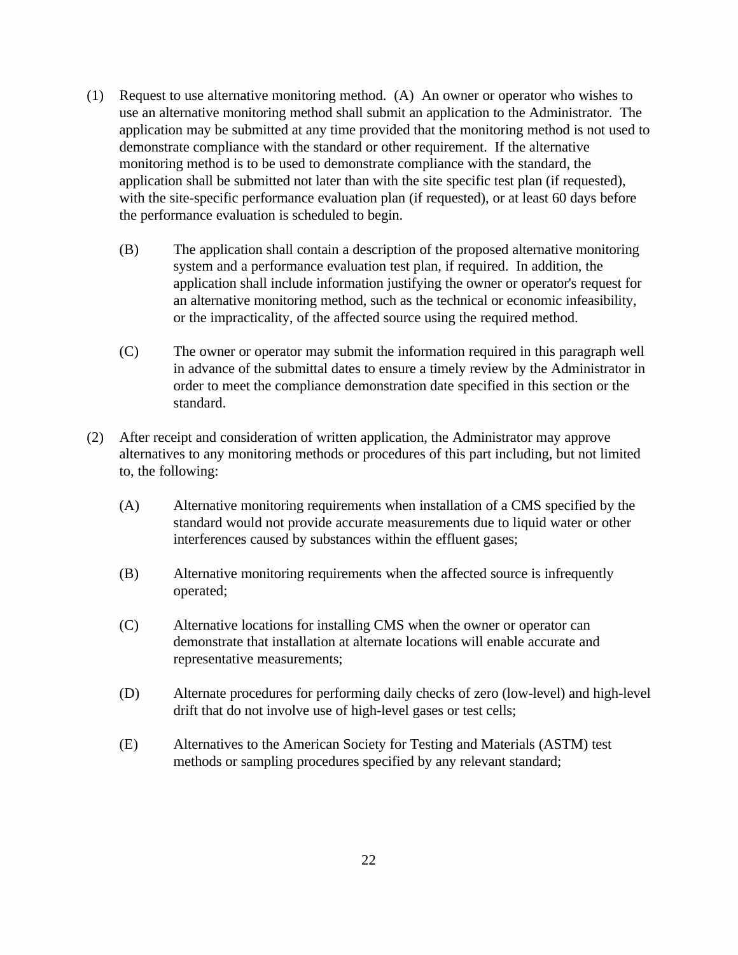- (1) Request to use alternative monitoring method. (A) An owner or operator who wishes to use an alternative monitoring method shall submit an application to the Administrator. The application may be submitted at any time provided that the monitoring method is not used to demonstrate compliance with the standard or other requirement. If the alternative monitoring method is to be used to demonstrate compliance with the standard, the application shall be submitted not later than with the site specific test plan (if requested), with the site-specific performance evaluation plan (if requested), or at least 60 days before the performance evaluation is scheduled to begin.
	- (B) The application shall contain a description of the proposed alternative monitoring system and a performance evaluation test plan, if required. In addition, the application shall include information justifying the owner or operator's request for an alternative monitoring method, such as the technical or economic infeasibility, or the impracticality, of the affected source using the required method.
	- (C) The owner or operator may submit the information required in this paragraph well in advance of the submittal dates to ensure a timely review by the Administrator in order to meet the compliance demonstration date specified in this section or the standard.
- (2) After receipt and consideration of written application, the Administrator may approve alternatives to any monitoring methods or procedures of this part including, but not limited to, the following:
	- (A) Alternative monitoring requirements when installation of a CMS specified by the standard would not provide accurate measurements due to liquid water or other interferences caused by substances within the effluent gases;
	- (B) Alternative monitoring requirements when the affected source is infrequently operated;
	- (C) Alternative locations for installing CMS when the owner or operator can demonstrate that installation at alternate locations will enable accurate and representative measurements;
	- (D) Alternate procedures for performing daily checks of zero (low-level) and high-level drift that do not involve use of high-level gases or test cells;
	- (E) Alternatives to the American Society for Testing and Materials (ASTM) test methods or sampling procedures specified by any relevant standard;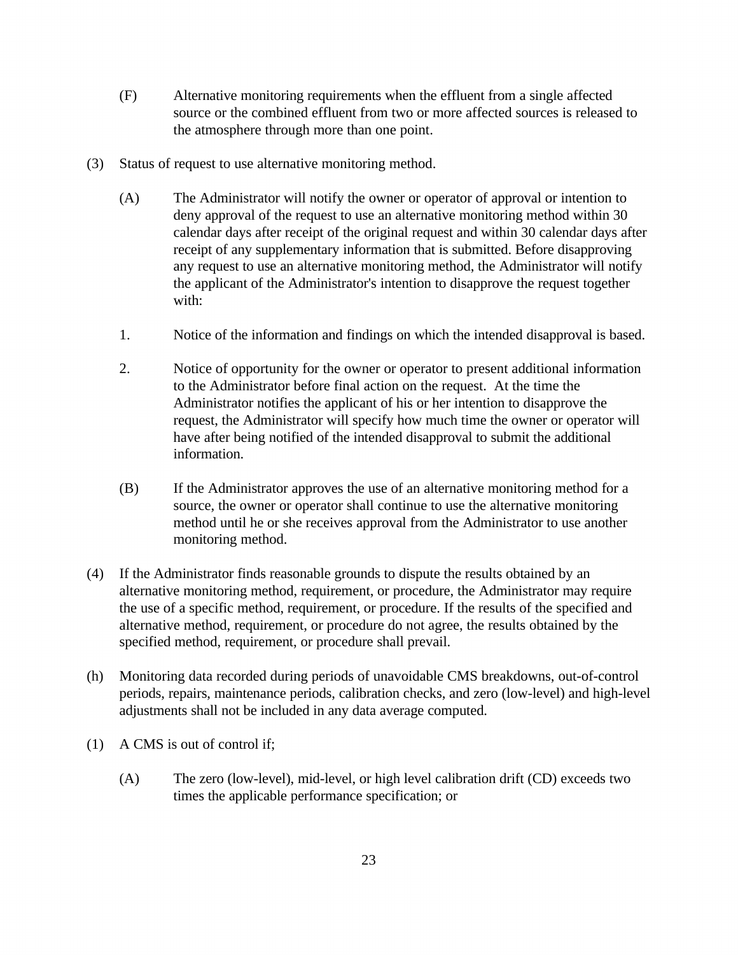- (F) Alternative monitoring requirements when the effluent from a single affected source or the combined effluent from two or more affected sources is released to the atmosphere through more than one point.
- (3) Status of request to use alternative monitoring method.
	- (A) The Administrator will notify the owner or operator of approval or intention to deny approval of the request to use an alternative monitoring method within 30 calendar days after receipt of the original request and within 30 calendar days after receipt of any supplementary information that is submitted. Before disapproving any request to use an alternative monitoring method, the Administrator will notify the applicant of the Administrator's intention to disapprove the request together with:
	- 1. Notice of the information and findings on which the intended disapproval is based.
	- 2. Notice of opportunity for the owner or operator to present additional information to the Administrator before final action on the request. At the time the Administrator notifies the applicant of his or her intention to disapprove the request, the Administrator will specify how much time the owner or operator will have after being notified of the intended disapproval to submit the additional information.
	- (B) If the Administrator approves the use of an alternative monitoring method for a source, the owner or operator shall continue to use the alternative monitoring method until he or she receives approval from the Administrator to use another monitoring method.
- (4) If the Administrator finds reasonable grounds to dispute the results obtained by an alternative monitoring method, requirement, or procedure, the Administrator may require the use of a specific method, requirement, or procedure. If the results of the specified and alternative method, requirement, or procedure do not agree, the results obtained by the specified method, requirement, or procedure shall prevail.
- (h) Monitoring data recorded during periods of unavoidable CMS breakdowns, out-of-control periods, repairs, maintenance periods, calibration checks, and zero (low-level) and high-level adjustments shall not be included in any data average computed.
- (1) A CMS is out of control if;
	- (A) The zero (low-level), mid-level, or high level calibration drift (CD) exceeds two times the applicable performance specification; or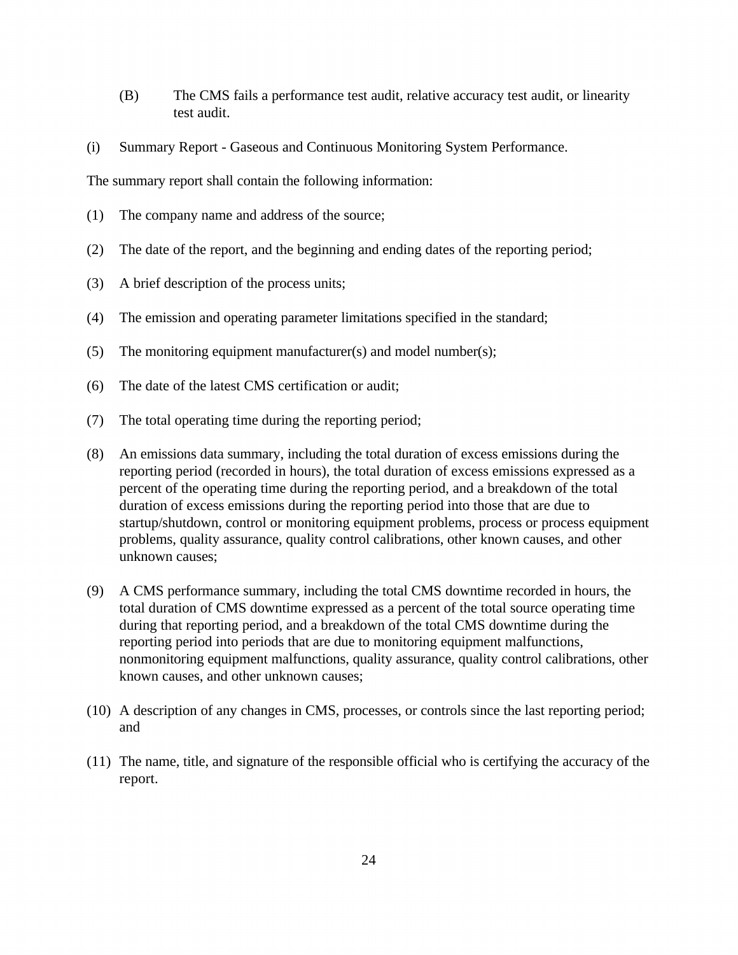- (B) The CMS fails a performance test audit, relative accuracy test audit, or linearity test audit.
- (i) Summary Report Gaseous and Continuous Monitoring System Performance.

The summary report shall contain the following information:

- (1) The company name and address of the source;
- (2) The date of the report, and the beginning and ending dates of the reporting period;
- (3) A brief description of the process units;
- (4) The emission and operating parameter limitations specified in the standard;
- (5) The monitoring equipment manufacturer(s) and model number(s);
- (6) The date of the latest CMS certification or audit;
- (7) The total operating time during the reporting period;
- (8) An emissions data summary, including the total duration of excess emissions during the reporting period (recorded in hours), the total duration of excess emissions expressed as a percent of the operating time during the reporting period, and a breakdown of the total duration of excess emissions during the reporting period into those that are due to startup/shutdown, control or monitoring equipment problems, process or process equipment problems, quality assurance, quality control calibrations, other known causes, and other unknown causes;
- (9) A CMS performance summary, including the total CMS downtime recorded in hours, the total duration of CMS downtime expressed as a percent of the total source operating time during that reporting period, and a breakdown of the total CMS downtime during the reporting period into periods that are due to monitoring equipment malfunctions, nonmonitoring equipment malfunctions, quality assurance, quality control calibrations, other known causes, and other unknown causes;
- (10) A description of any changes in CMS, processes, or controls since the last reporting period; and
- (11) The name, title, and signature of the responsible official who is certifying the accuracy of the report.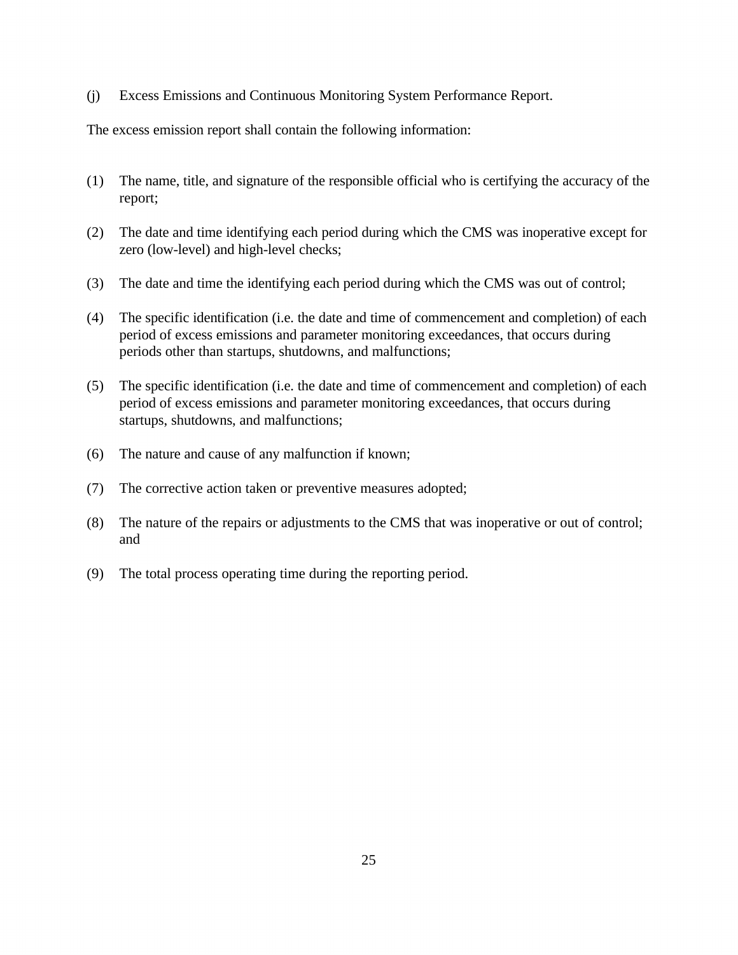(j) Excess Emissions and Continuous Monitoring System Performance Report.

The excess emission report shall contain the following information:

- (1) The name, title, and signature of the responsible official who is certifying the accuracy of the report;
- (2) The date and time identifying each period during which the CMS was inoperative except for zero (low-level) and high-level checks;
- (3) The date and time the identifying each period during which the CMS was out of control;
- (4) The specific identification (i.e. the date and time of commencement and completion) of each period of excess emissions and parameter monitoring exceedances, that occurs during periods other than startups, shutdowns, and malfunctions;
- (5) The specific identification (i.e. the date and time of commencement and completion) of each period of excess emissions and parameter monitoring exceedances, that occurs during startups, shutdowns, and malfunctions;
- (6) The nature and cause of any malfunction if known;
- (7) The corrective action taken or preventive measures adopted;
- (8) The nature of the repairs or adjustments to the CMS that was inoperative or out of control; and
- (9) The total process operating time during the reporting period.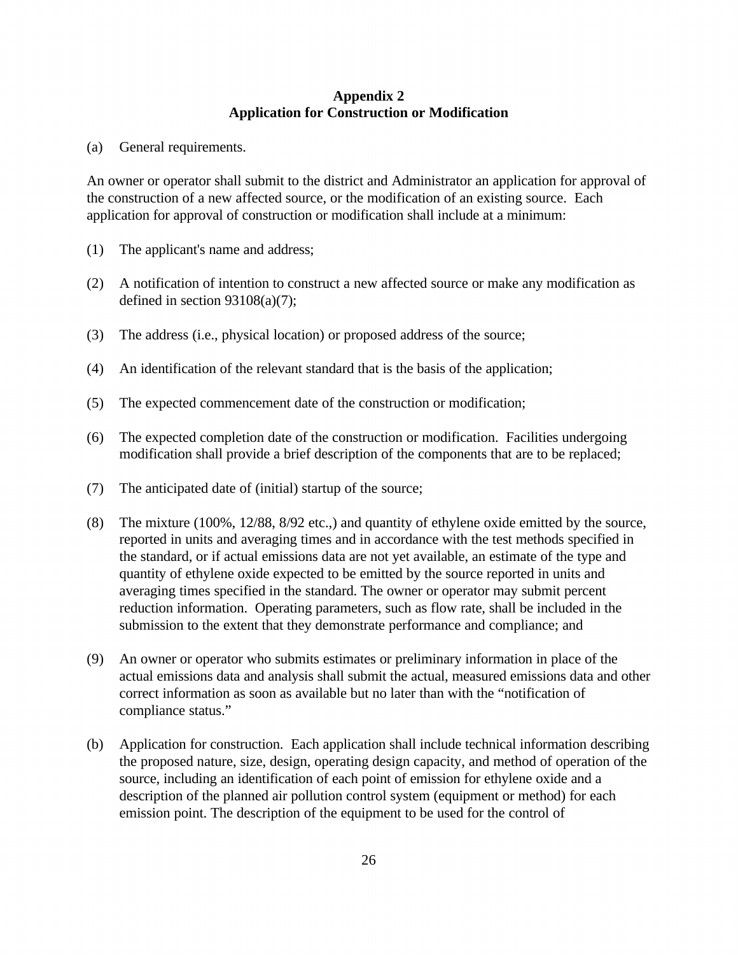#### **Appendix 2 Application for Construction or Modification**

(a) General requirements.

An owner or operator shall submit to the district and Administrator an application for approval of the construction of a new affected source, or the modification of an existing source. Each application for approval of construction or modification shall include at a minimum:

- (1) The applicant's name and address;
- (2) A notification of intention to construct a new affected source or make any modification as defined in section  $93108(a)(7)$ ;
- (3) The address (i.e., physical location) or proposed address of the source;
- (4) An identification of the relevant standard that is the basis of the application;
- (5) The expected commencement date of the construction or modification;
- (6) The expected completion date of the construction or modification. Facilities undergoing modification shall provide a brief description of the components that are to be replaced;
- (7) The anticipated date of (initial) startup of the source;
- (8) The mixture (100%, 12/88, 8/92 etc.,) and quantity of ethylene oxide emitted by the source, reported in units and averaging times and in accordance with the test methods specified in the standard, or if actual emissions data are not yet available, an estimate of the type and quantity of ethylene oxide expected to be emitted by the source reported in units and averaging times specified in the standard. The owner or operator may submit percent reduction information. Operating parameters, such as flow rate, shall be included in the submission to the extent that they demonstrate performance and compliance; and
- (9) An owner or operator who submits estimates or preliminary information in place of the actual emissions data and analysis shall submit the actual, measured emissions data and other correct information as soon as available but no later than with the "notification of compliance status."
- (b) Application for construction. Each application shall include technical information describing the proposed nature, size, design, operating design capacity, and method of operation of the source, including an identification of each point of emission for ethylene oxide and a description of the planned air pollution control system (equipment or method) for each emission point. The description of the equipment to be used for the control of